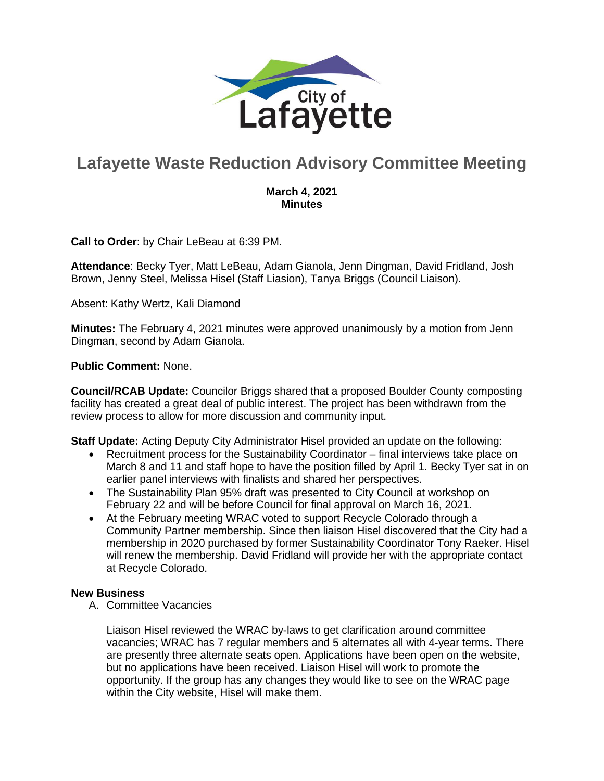

# **Lafayette Waste Reduction Advisory Committee Meeting**

### **March 4, 2021 Minutes**

**Call to Order**: by Chair LeBeau at 6:39 PM.

**Attendance**: Becky Tyer, Matt LeBeau, Adam Gianola, Jenn Dingman, David Fridland, Josh Brown, Jenny Steel, Melissa Hisel (Staff Liasion), Tanya Briggs (Council Liaison).

Absent: Kathy Wertz, Kali Diamond

**Minutes:** The February 4, 2021 minutes were approved unanimously by a motion from Jenn Dingman, second by Adam Gianola.

#### **Public Comment:** None.

**Council/RCAB Update:** Councilor Briggs shared that a proposed Boulder County composting facility has created a great deal of public interest. The project has been withdrawn from the review process to allow for more discussion and community input.

**Staff Update:** Acting Deputy City Administrator Hisel provided an update on the following:

- Recruitment process for the Sustainability Coordinator final interviews take place on March 8 and 11 and staff hope to have the position filled by April 1. Becky Tyer sat in on earlier panel interviews with finalists and shared her perspectives.
- The Sustainability Plan 95% draft was presented to City Council at workshop on February 22 and will be before Council for final approval on March 16, 2021.
- At the February meeting WRAC voted to support Recycle Colorado through a Community Partner membership. Since then liaison Hisel discovered that the City had a membership in 2020 purchased by former Sustainability Coordinator Tony Raeker. Hisel will renew the membership. David Fridland will provide her with the appropriate contact at Recycle Colorado.

#### **New Business**

A. Committee Vacancies

Liaison Hisel reviewed the WRAC by-laws to get clarification around committee vacancies; WRAC has 7 regular members and 5 alternates all with 4-year terms. There are presently three alternate seats open. Applications have been open on the website, but no applications have been received. Liaison Hisel will work to promote the opportunity. If the group has any changes they would like to see on the WRAC page within the City website, Hisel will make them.